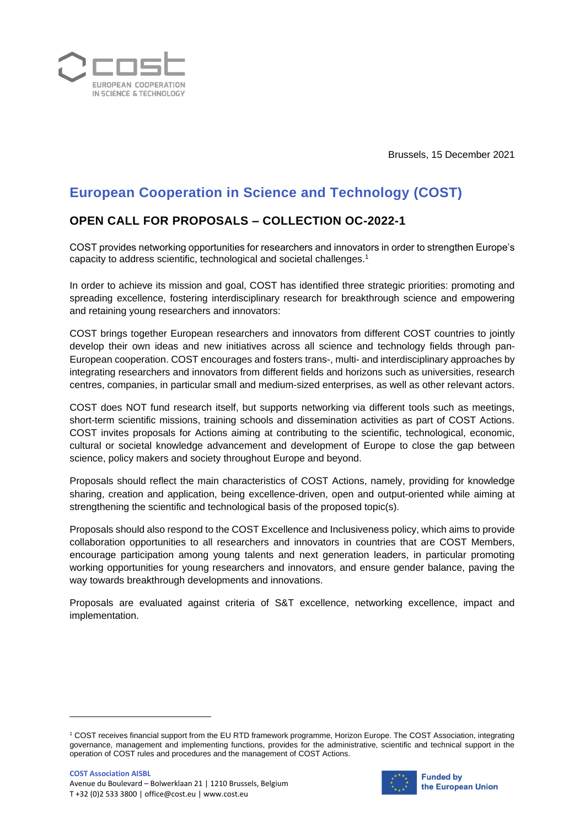

Brussels, 15 December 2021

## **European Cooperation in Science and Technology (COST)**

## **OPEN CALL FOR PROPOSALS – COLLECTION OC-2022-1**

COST provides networking opportunities for researchers and innovators in order to strengthen Europe's capacity to address scientific, technological and societal challenges.<sup>1</sup>

In order to achieve its mission and goal, COST has identified three strategic priorities: promoting and spreading excellence, fostering interdisciplinary research for breakthrough science and empowering and retaining young researchers and innovators:

COST brings together European researchers and innovators from different COST countries to jointly develop their own ideas and new initiatives across all science and technology fields through pan-European cooperation. COST encourages and fosters trans-, multi- and interdisciplinary approaches by integrating researchers and innovators from different fields and horizons such as universities, research centres, companies, in particular small and medium-sized enterprises, as well as other relevant actors.

COST does NOT fund research itself, but supports networking via different tools such as meetings, short-term scientific missions, training schools and dissemination activities as part of COST Actions. COST invites proposals for Actions aiming at contributing to the scientific, technological, economic, cultural or societal knowledge advancement and development of Europe to close the gap between science, policy makers and society throughout Europe and beyond.

Proposals should reflect the main characteristics of COST Actions, namely, providing for knowledge sharing, creation and application, being excellence-driven, open and output-oriented while aiming at strengthening the scientific and technological basis of the proposed topic(s).

Proposals should also respond to the COST Excellence and Inclusiveness policy, which aims to provide collaboration opportunities to all researchers and innovators in countries that are COST Members, encourage participation among young talents and next generation leaders, in particular promoting working opportunities for young researchers and innovators, and ensure gender balance, paving the way towards breakthrough developments and innovations.

Proposals are evaluated against criteria of S&T excellence, networking excellence, impact and implementation.



<sup>1</sup> COST receives financial support from the EU RTD framework programme, Horizon Europe. The COST Association, integrating governance, management and implementing functions, provides for the administrative, scientific and technical support in the operation of COST rules and procedures and the management of COST Actions.